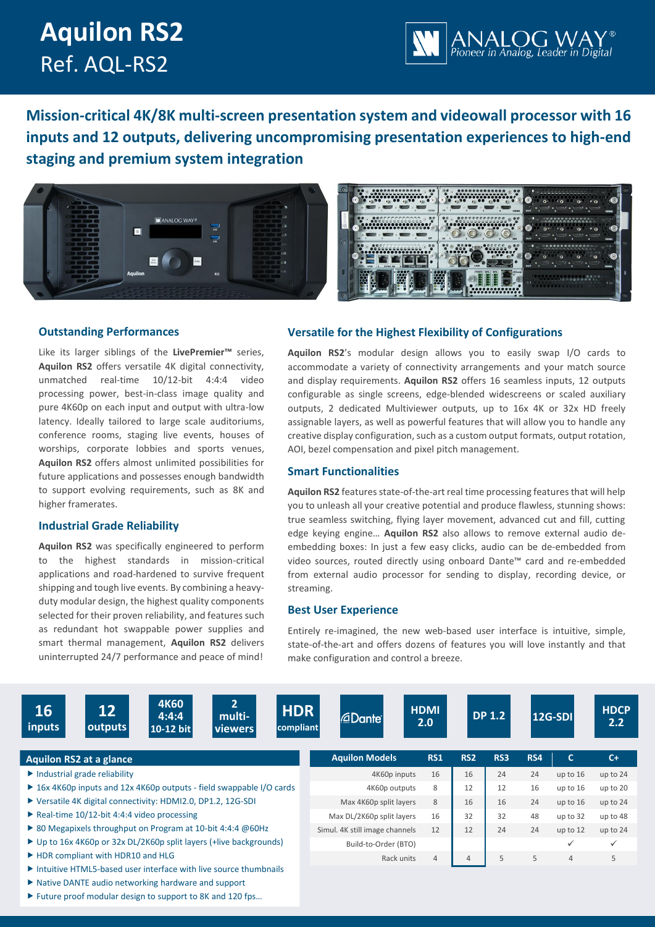# **Aquilon RS2** Ref. AQL-RS2



**Mission-critical 4K/8K multi-screen presentation system and videowall processor with 16 inputs and 12 outputs, delivering uncompromising presentation experiences to high-end staging and premium system integration**





## **Outstanding Performances**

Like its larger siblings of the **LivePremier™** series, **Aquilon RS2** offers versatile 4K digital connectivity, unmatched real-time 10/12-bit 4:4:4 video processing power, best-in-class image quality and pure 4K60p on each input and output with ultra-low latency. Ideally tailored to large scale auditoriums, conference rooms, staging live events, houses of worships, corporate lobbies and sports venues, **Aquilon RS2** offers almost unlimited possibilities for future applications and possesses enough bandwidth to support evolving requirements, such as 8K and higher framerates.

## **Industrial Grade Reliability**

**Aquilon RS2** was specifically engineered to perform to the highest standards in mission-critical applications and road-hardened to survive frequent shipping and tough live events. By combining a heavyduty modular design, the highest quality components selected for their proven reliability, and features such as redundant hot swappable power supplies and smart thermal management, **Aquilon RS2** delivers uninterrupted 24/7 performance and peace of mind!

# **Versatile for the Highest Flexibility of Configurations**

**Aquilon RS2**'s modular design allows you to easily swap I/O cards to accommodate a variety of connectivity arrangements and your match source and display requirements. **Aquilon RS2** offers 16 seamless inputs, 12 outputs configurable as single screens, edge-blended widescreens or scaled auxiliary outputs, 2 dedicated Multiviewer outputs, up to 16x 4K or 32x HD freely assignable layers, as well as powerful features that will allow you to handle any creative display configuration, such as a custom output formats, output rotation, AOI, bezel compensation and pixel pitch management.

# **Smart Functionalities**

**Aquilon RS2** features state-of-the-art real time processing features that will help you to unleash all your creative potential and produce flawless, stunning shows: true seamless switching, flying layer movement, advanced cut and fill, cutting edge keying engine… **Aquilon RS2** also allows to remove external audio deembedding boxes: In just a few easy clicks, audio can be de-embedded from video sources, routed directly using onboard Dante™ card and re-embedded from external audio processor for sending to display, recording device, or streaming.

## **Best User Experience**

Entirely re-imagined, the new web-based user interface is intuitive, simple, state-of-the-art and offers dozens of features you will love instantly and that make configuration and control a breeze.

| 16<br>inputs                                                         | $\overline{12}$<br>outputs                                                                                                                | <b>4K60</b><br>4:4:4<br>10-12 bit | 2 <sup>1</sup><br>multi-<br><b>viewers</b> | <b>HDR</b><br>compliant | <b><i><u></u></i></b> Dante    | <b>HDMI</b><br>2.0 |                | <b>DP 1.2</b> |          | <b>12G-SDI</b> | <b>HDCP</b><br>2.2 |
|----------------------------------------------------------------------|-------------------------------------------------------------------------------------------------------------------------------------------|-----------------------------------|--------------------------------------------|-------------------------|--------------------------------|--------------------|----------------|---------------|----------|----------------|--------------------|
|                                                                      | <b>Aquilon RS2 at a glance</b>                                                                                                            |                                   |                                            |                         | <b>Aquilon Models</b>          | <b>RS1</b>         | <b>RS2</b>     | RS3           | RS4      | C.             | $C+$               |
| $\blacktriangleright$ Industrial grade reliability                   |                                                                                                                                           |                                   |                                            | 4K60p inputs            | 16                             | 16                 | 24             | 24            | up to 16 | up to 24       |                    |
| ▶ 16x 4K60p inputs and 12x 4K60p outputs - field swappable I/O cards |                                                                                                                                           |                                   |                                            |                         | 4K60p outputs                  | 8                  | 12             | 12            | 16       | up to 16       | up to 20           |
| ▶ Versatile 4K digital connectivity: HDMI2.0, DP1.2, 12G-SDI         |                                                                                                                                           |                                   |                                            |                         | Max 4K60p split layers         | 8                  | 16             | 16            | 24       | up to $16$     | up to 24           |
| Real-time $10/12$ -bit 4:4:4 video processing                        |                                                                                                                                           |                                   |                                            |                         | Max DL/2K60p split layers      | 16                 | 32             | 32            | 48       | up to 32       | up to 48           |
| ▶ 80 Megapixels throughput on Program at 10-bit 4:4:4 @ 60Hz         |                                                                                                                                           |                                   |                                            |                         | Simul. 4K still image channels | 12                 | 12             | 24            | 24       | up to $12$     | up to 24           |
| ► Up to 16x 4K60p or 32x DL/2K60p split layers (+live backgrounds)   |                                                                                                                                           |                                   |                                            |                         | Build-to-Order (BTO)           |                    |                |               |          | ✓              | $\checkmark$       |
| ▶ HDR compliant with HDR10 and HLG                                   |                                                                                                                                           |                                   |                                            |                         | Rack units                     | $\overline{4}$     | $\overline{4}$ | 5             | 5        | $\overline{4}$ | 5                  |
|                                                                      | $\triangleright$ Intuitive HTML5-based user interface with live source thumbnails<br>▶ Native DANTE audio networking hardware and support |                                   |                                            |                         |                                |                    |                |               |          |                |                    |

▶ Future proof modular design to support to 8K and 120 fps...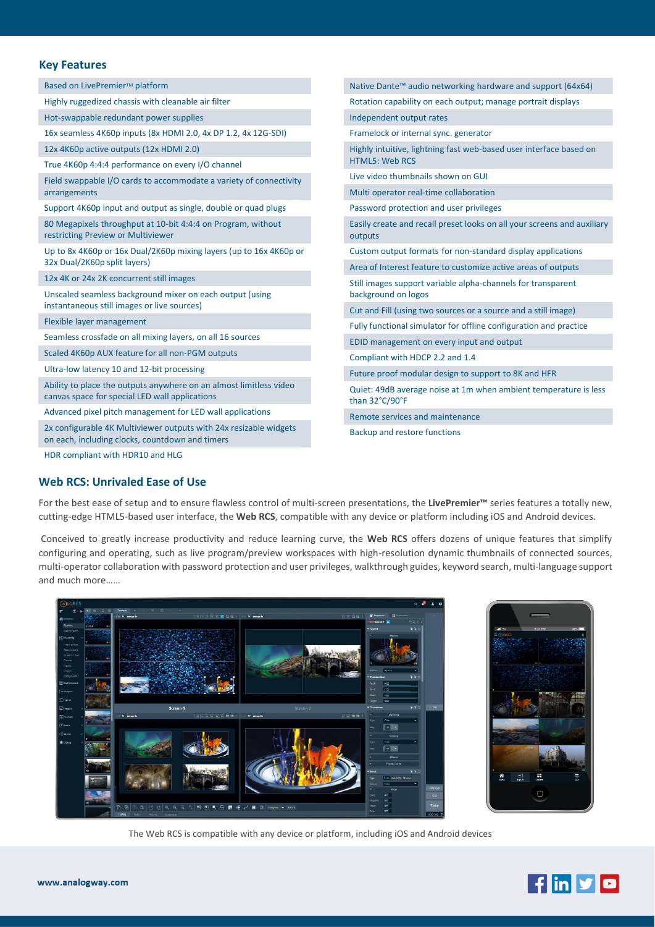# **Key Features**

| Based on LivePremier™ platform                                                                                       | Native Dante™ audio networking hardware and support (64x64)                        |  |  |  |  |  |
|----------------------------------------------------------------------------------------------------------------------|------------------------------------------------------------------------------------|--|--|--|--|--|
| Highly ruggedized chassis with cleanable air filter                                                                  | Rotation capability on each output; manage portrait displays                       |  |  |  |  |  |
| Hot-swappable redundant power supplies                                                                               | Independent output rates                                                           |  |  |  |  |  |
| 16x seamless 4K60p inputs (8x HDMI 2.0, 4x DP 1.2, 4x 12G-SDI)                                                       | Framelock or internal sync. generator                                              |  |  |  |  |  |
| 12x 4K60p active outputs (12x HDMI 2.0)                                                                              | Highly intuitive, lightning fast web-based user interface based on                 |  |  |  |  |  |
| True 4K60p 4:4:4 performance on every I/O channel                                                                    | <b>HTML5: Web RCS</b>                                                              |  |  |  |  |  |
| Field swappable I/O cards to accommodate a variety of connectivity                                                   | Live video thumbnails shown on GUI                                                 |  |  |  |  |  |
| arrangements                                                                                                         | Multi operator real-time collaboration                                             |  |  |  |  |  |
| Support 4K60p input and output as single, double or quad plugs                                                       | Password protection and user privileges                                            |  |  |  |  |  |
| 80 Megapixels throughput at 10-bit 4:4:4 on Program, without<br>restricting Preview or Multiviewer                   | Easily create and recall preset looks on all your screens and auxiliary<br>outputs |  |  |  |  |  |
| Up to 8x 4K60p or 16x Dual/2K60p mixing layers (up to 16x 4K60p or                                                   | Custom output formats for non-standard display applications                        |  |  |  |  |  |
| 32x Dual/2K60p split layers)                                                                                         | Area of Interest feature to customize active areas of outputs                      |  |  |  |  |  |
| 12x 4K or 24x 2K concurrent still images                                                                             | Still images support variable alpha-channels for transparent                       |  |  |  |  |  |
| Unscaled seamless background mixer on each output (using                                                             | background on logos                                                                |  |  |  |  |  |
| instantaneous still images or live sources)                                                                          | Cut and Fill (using two sources or a source and a still image)                     |  |  |  |  |  |
| Flexible layer management                                                                                            | Fully functional simulator for offline configuration and practice                  |  |  |  |  |  |
| Seamless crossfade on all mixing layers, on all 16 sources                                                           | EDID management on every input and output                                          |  |  |  |  |  |
| Scaled 4K60p AUX feature for all non-PGM outputs                                                                     | Compliant with HDCP 2.2 and 1.4                                                    |  |  |  |  |  |
| Ultra-low latency 10 and 12-bit processing                                                                           | Future proof modular design to support to 8K and HFR                               |  |  |  |  |  |
| Ability to place the outputs anywhere on an almost limitless video<br>canvas space for special LED wall applications | Quiet: 49dB average noise at 1m when ambient temperature is less<br>than 32°C/90°F |  |  |  |  |  |
| Advanced pixel pitch management for LED wall applications                                                            | Remote services and maintenance                                                    |  |  |  |  |  |
| 2x configurable 4K Multiviewer outputs with 24x resizable widgets<br>on each, including clocks, countdown and timers | Backup and restore functions                                                       |  |  |  |  |  |
| HDR compliant with HDR10 and HLG                                                                                     |                                                                                    |  |  |  |  |  |

## **Web RCS: Unrivaled Ease of Use**

For the best ease of setup and to ensure flawless control of multi-screen presentations, the **LivePremier™** series features a totally new, cutting-edge HTML5-based user interface, the **Web RCS**, compatible with any device or platform including iOS and Android devices.

Conceived to greatly increase productivity and reduce learning curve, the **Web RCS** offers dozens of unique features that simplify configuring and operating, such as live program/preview workspaces with high-resolution dynamic thumbnails of connected sources, multi-operator collaboration with password protection and user privileges, walkthrough guides, keyword search, multi-language support and much more……





The Web RCS is compatible with any device or platform, including iOS and Android devices

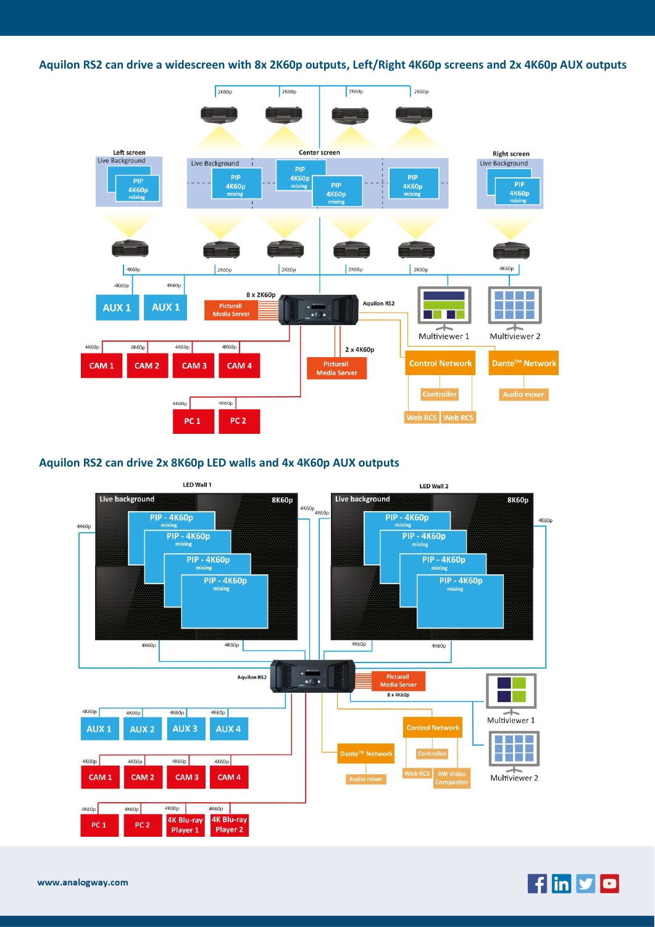**Aquilon RS2 can drive a widescreen with 8x 2K60p outputs, Left/Right 4K60p screens and 2x 4K60p AUX outputs**



# **Aquilon RS2 can drive 2x 8K60p LED walls and 4x 4K60p AUX outputs**